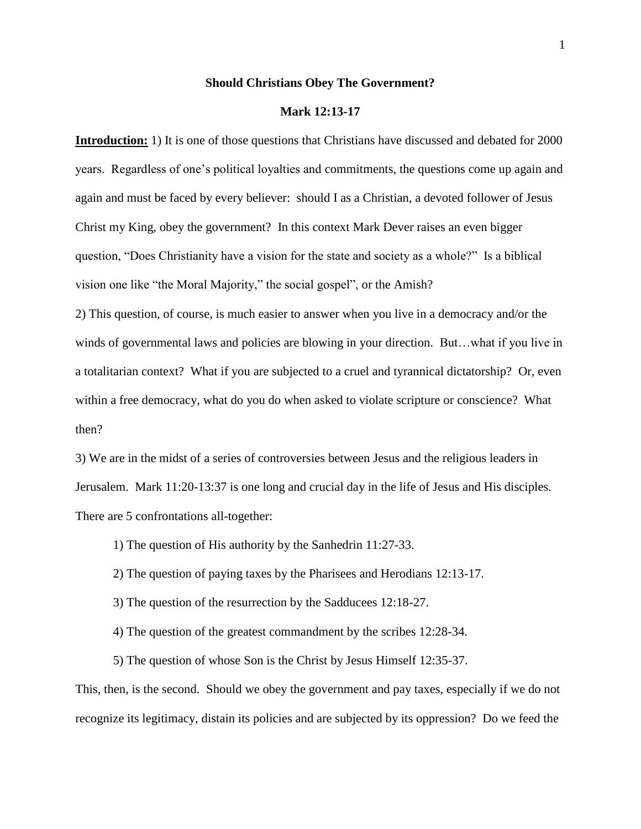#### **Should Christians Obey The Government?**

#### **Mark 12:13-17**

**Introduction:** 1) It is one of those questions that Christians have discussed and debated for 2000 years. Regardless of one's political loyalties and commitments, the questions come up again and again and must be faced by every believer: should I as a Christian, a devoted follower of Jesus Christ my King, obey the government? In this context Mark Dever raises an even bigger question, "Does Christianity have a vision for the state and society as a whole?" Is a biblical vision one like "the Moral Majority," the social gospel", or the Amish?

2) This question, of course, is much easier to answer when you live in a democracy and/or the winds of governmental laws and policies are blowing in your direction. But…what if you live in a totalitarian context? What if you are subjected to a cruel and tyrannical dictatorship? Or, even within a free democracy, what do you do when asked to violate scripture or conscience? What then?

3) We are in the midst of a series of controversies between Jesus and the religious leaders in Jerusalem. Mark 11:20-13:37 is one long and crucial day in the life of Jesus and His disciples. There are 5 confrontations all-together:

1) The question of His authority by the Sanhedrin 11:27-33.

2) The question of paying taxes by the Pharisees and Herodians 12:13-17.

3) The question of the resurrection by the Sadducees 12:18-27.

4) The question of the greatest commandment by the scribes 12:28-34.

5) The question of whose Son is the Christ by Jesus Himself 12:35-37.

This, then, is the second. Should we obey the government and pay taxes, especially if we do not recognize its legitimacy, distain its policies and are subjected by its oppression? Do we feed the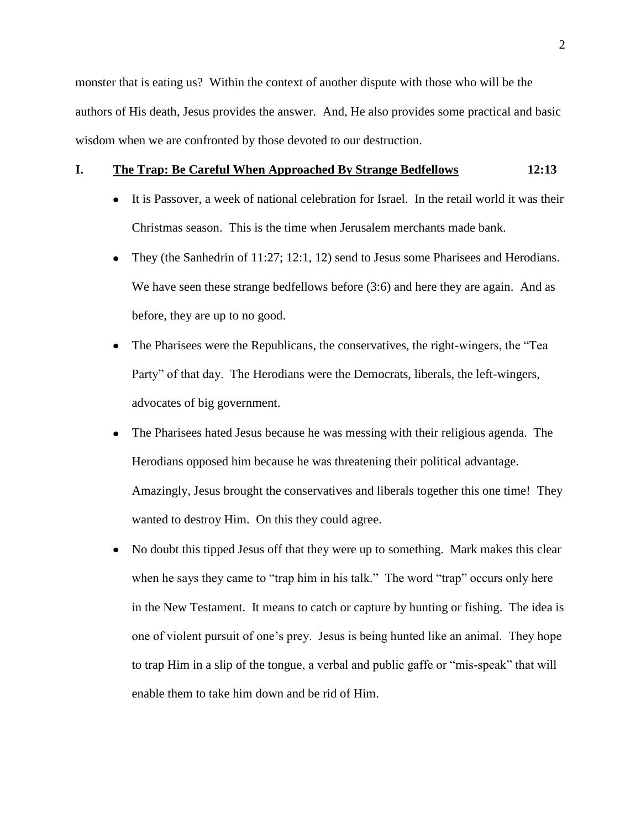2

monster that is eating us? Within the context of another dispute with those who will be the authors of His death, Jesus provides the answer. And, He also provides some practical and basic wisdom when we are confronted by those devoted to our destruction.

## **I. The Trap: Be Careful When Approached By Strange Bedfellows 12:13**

- It is Passover, a week of national celebration for Israel. In the retail world it was their Christmas season. This is the time when Jerusalem merchants made bank.
- $\bullet$ They (the Sanhedrin of 11:27; 12:1, 12) send to Jesus some Pharisees and Herodians. We have seen these strange bedfellows before (3:6) and here they are again. And as before, they are up to no good.
- The Pharisees were the Republicans, the conservatives, the right-wingers, the "Tea Party" of that day. The Herodians were the Democrats, liberals, the left-wingers, advocates of big government.
- The Pharisees hated Jesus because he was messing with their religious agenda. The  $\bullet$ Herodians opposed him because he was threatening their political advantage. Amazingly, Jesus brought the conservatives and liberals together this one time! They wanted to destroy Him. On this they could agree.
- No doubt this tipped Jesus off that they were up to something. Mark makes this clear  $\bullet$ when he says they came to "trap him in his talk." The word "trap" occurs only here in the New Testament. It means to catch or capture by hunting or fishing. The idea is one of violent pursuit of one's prey. Jesus is being hunted like an animal. They hope to trap Him in a slip of the tongue, a verbal and public gaffe or "mis-speak" that will enable them to take him down and be rid of Him.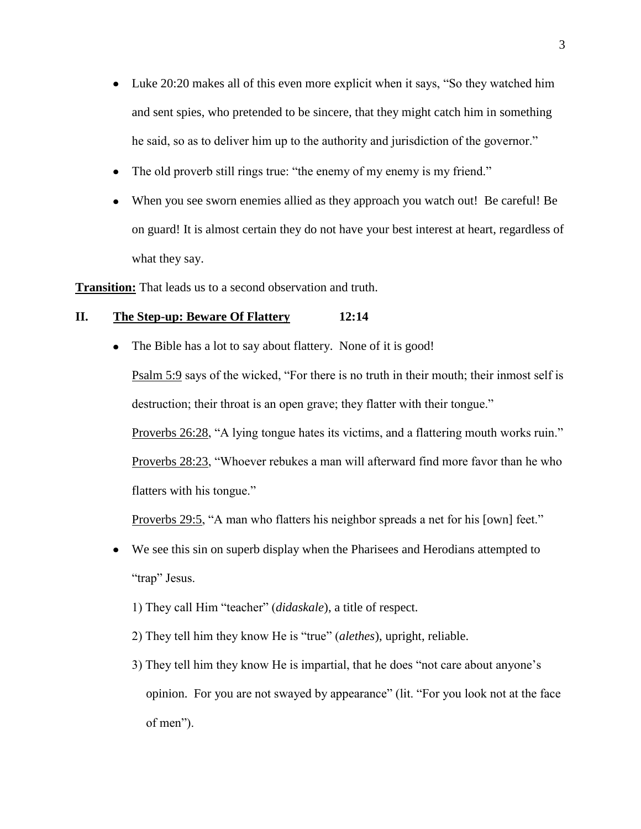- Luke 20:20 makes all of this even more explicit when it says, "So they watched him and sent spies, who pretended to be sincere, that they might catch him in something he said, so as to deliver him up to the authority and jurisdiction of the governor."
- The old proverb still rings true: "the enemy of my enemy is my friend."

The Bible has a lot to say about flattery. None of it is good!

When you see sworn enemies allied as they approach you watch out! Be careful! Be on guard! It is almost certain they do not have your best interest at heart, regardless of what they say.

**Transition:** That leads us to a second observation and truth.

# **II. The Step-up: Beware Of Flattery 12:14**

 $\bullet$ 

Psalm 5:9 says of the wicked, "For there is no truth in their mouth; their inmost self is destruction; their throat is an open grave; they flatter with their tongue." Proverbs 26:28, "A lying tongue hates its victims, and a flattering mouth works ruin."

Proverbs 28:23, "Whoever rebukes a man will afterward find more favor than he who flatters with his tongue."

Proverbs 29:5, "A man who flatters his neighbor spreads a net for his [own] feet."

- We see this sin on superb display when the Pharisees and Herodians attempted to  $\bullet$ "trap" Jesus.
	- 1) They call Him "teacher" (*didaskale*), a title of respect.
	- 2) They tell him they know He is "true" (*alethes*), upright, reliable.
	- 3) They tell him they know He is impartial, that he does "not care about anyone's opinion. For you are not swayed by appearance" (lit. "For you look not at the face of men").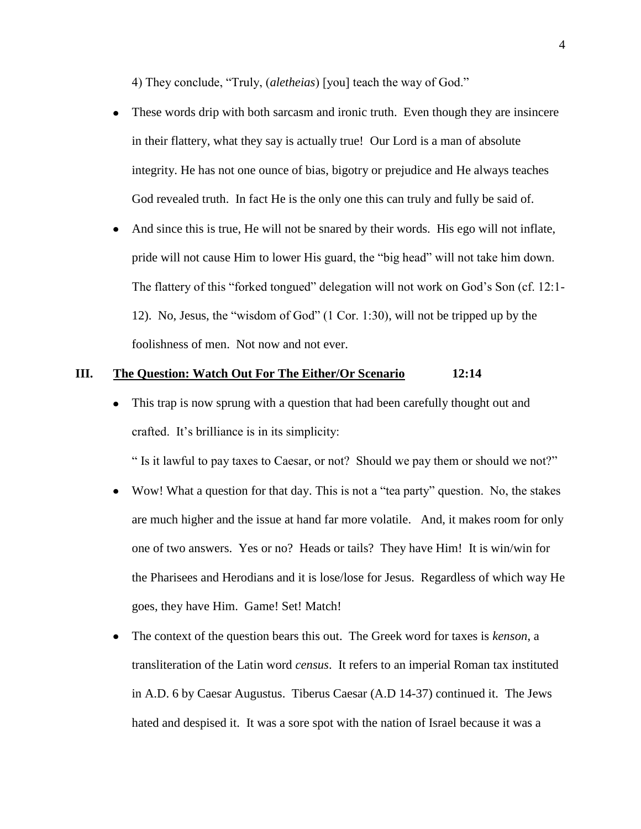4) They conclude, "Truly, (*aletheias*) [you] teach the way of God."

- These words drip with both sarcasm and ironic truth. Even though they are insincere  $\bullet$ in their flattery, what they say is actually true! Our Lord is a man of absolute integrity. He has not one ounce of bias, bigotry or prejudice and He always teaches God revealed truth. In fact He is the only one this can truly and fully be said of.
- And since this is true, He will not be snared by their words. His ego will not inflate, pride will not cause Him to lower His guard, the "big head" will not take him down. The flattery of this "forked tongued" delegation will not work on God's Son (cf. 12:1- 12). No, Jesus, the "wisdom of God" (1 Cor. 1:30), will not be tripped up by the foolishness of men. Not now and not ever.

## **III. The Question: Watch Out For The Either/Or Scenario 12:14**

 $\bullet$ This trap is now sprung with a question that had been carefully thought out and crafted. It's brilliance is in its simplicity:

" Is it lawful to pay taxes to Caesar, or not? Should we pay them or should we not?"

- Wow! What a question for that day. This is not a "tea party" question. No, the stakes are much higher and the issue at hand far more volatile. And, it makes room for only one of two answers. Yes or no? Heads or tails? They have Him! It is win/win for the Pharisees and Herodians and it is lose/lose for Jesus. Regardless of which way He goes, they have Him. Game! Set! Match!
- The context of the question bears this out. The Greek word for taxes is *kenson*, a  $\bullet$ transliteration of the Latin word *census*. It refers to an imperial Roman tax instituted in A.D. 6 by Caesar Augustus. Tiberus Caesar (A.D 14-37) continued it. The Jews hated and despised it. It was a sore spot with the nation of Israel because it was a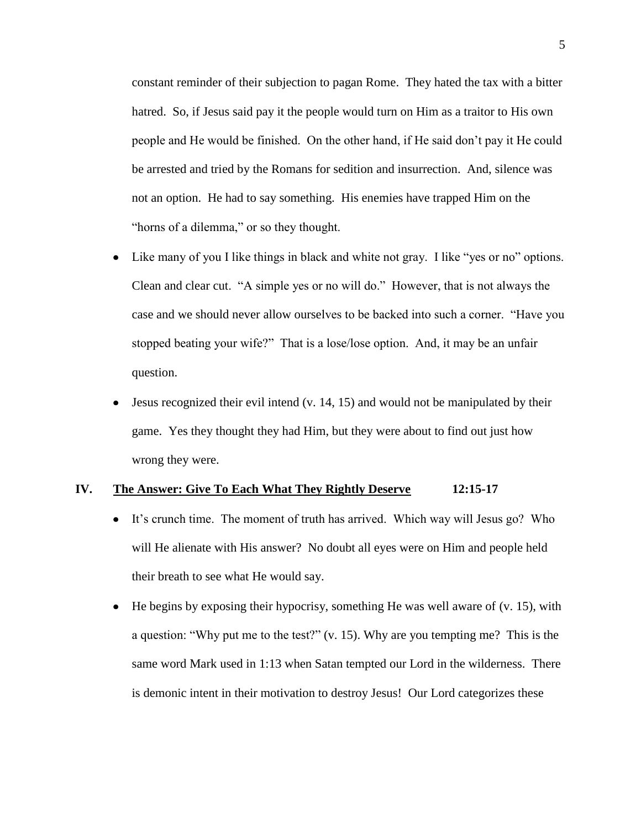constant reminder of their subjection to pagan Rome. They hated the tax with a bitter hatred. So, if Jesus said pay it the people would turn on Him as a traitor to His own people and He would be finished. On the other hand, if He said don't pay it He could be arrested and tried by the Romans for sedition and insurrection. And, silence was not an option. He had to say something. His enemies have trapped Him on the "horns of a dilemma," or so they thought.

- Like many of you I like things in black and white not gray. I like "yes or no" options.  $\bullet$ Clean and clear cut. "A simple yes or no will do." However, that is not always the case and we should never allow ourselves to be backed into such a corner. "Have you stopped beating your wife?" That is a lose/lose option. And, it may be an unfair question.
- Jesus recognized their evil intend (v. 14, 15) and would not be manipulated by their game. Yes they thought they had Him, but they were about to find out just how wrong they were.

## **IV. The Answer: Give To Each What They Rightly Deserve 12:15-17**

- It's crunch time. The moment of truth has arrived. Which way will Jesus go? Who will He alienate with His answer? No doubt all eyes were on Him and people held their breath to see what He would say.
- He begins by exposing their hypocrisy, something He was well aware of (v. 15), with  $\bullet$ a question: "Why put me to the test?" (v. 15). Why are you tempting me? This is the same word Mark used in 1:13 when Satan tempted our Lord in the wilderness. There is demonic intent in their motivation to destroy Jesus! Our Lord categorizes these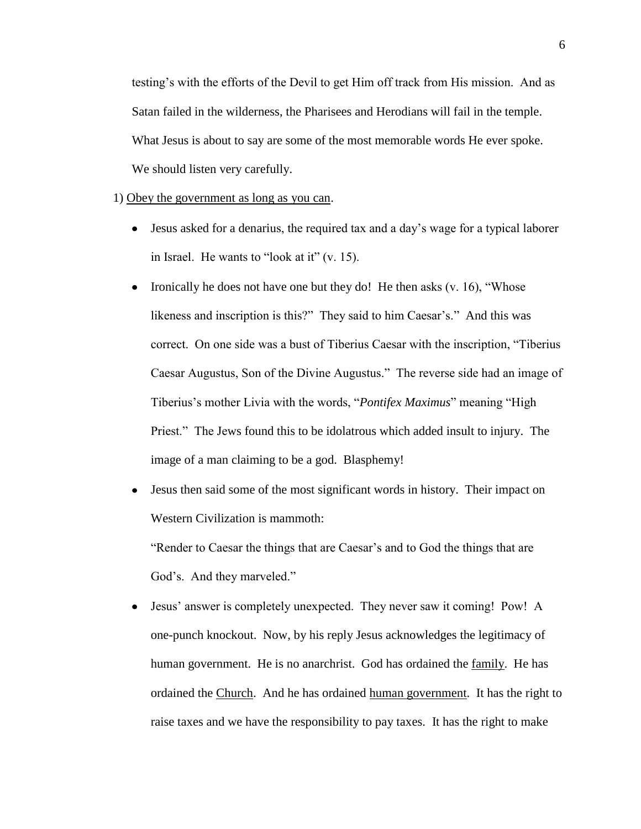testing's with the efforts of the Devil to get Him off track from His mission. And as Satan failed in the wilderness, the Pharisees and Herodians will fail in the temple. What Jesus is about to say are some of the most memorable words He ever spoke. We should listen very carefully.

1) Obey the government as long as you can.

- Jesus asked for a denarius, the required tax and a day's wage for a typical laborer in Israel. He wants to "look at it" (v. 15).
- Ironically he does not have one but they do! He then asks  $(v. 16)$ , "Whose likeness and inscription is this?" They said to him Caesar's." And this was correct. On one side was a bust of Tiberius Caesar with the inscription, "Tiberius Caesar Augustus, Son of the Divine Augustus." The reverse side had an image of Tiberius's mother Livia with the words, "*Pontifex Maximus*" meaning "High Priest." The Jews found this to be idolatrous which added insult to injury. The image of a man claiming to be a god. Blasphemy!
- Jesus then said some of the most significant words in history. Their impact on  $\bullet$ Western Civilization is mammoth:

"Render to Caesar the things that are Caesar's and to God the things that are God's. And they marveled."

Jesus' answer is completely unexpected. They never saw it coming! Pow! A  $\bullet$ one-punch knockout. Now, by his reply Jesus acknowledges the legitimacy of human government. He is no anarchrist. God has ordained the family. He has ordained the Church. And he has ordained human government. It has the right to raise taxes and we have the responsibility to pay taxes. It has the right to make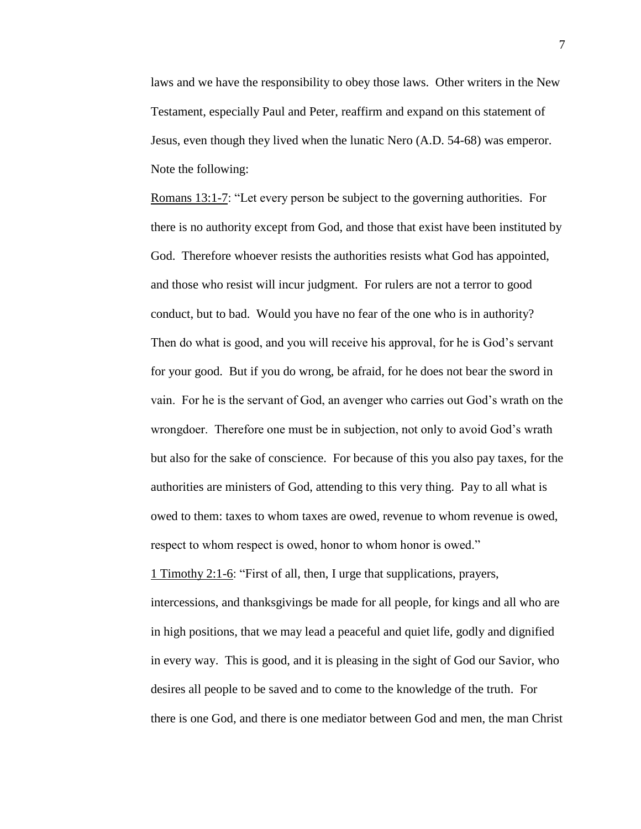laws and we have the responsibility to obey those laws. Other writers in the New Testament, especially Paul and Peter, reaffirm and expand on this statement of Jesus, even though they lived when the lunatic Nero (A.D. 54-68) was emperor. Note the following:

Romans 13:1-7: "Let every person be subject to the governing authorities. For there is no authority except from God, and those that exist have been instituted by God. Therefore whoever resists the authorities resists what God has appointed, and those who resist will incur judgment. For rulers are not a terror to good conduct, but to bad. Would you have no fear of the one who is in authority? Then do what is good, and you will receive his approval, for he is God's servant for your good. But if you do wrong, be afraid, for he does not bear the sword in vain. For he is the servant of God, an avenger who carries out God's wrath on the wrongdoer. Therefore one must be in subjection, not only to avoid God's wrath but also for the sake of conscience. For because of this you also pay taxes, for the authorities are ministers of God, attending to this very thing. Pay to all what is owed to them: taxes to whom taxes are owed, revenue to whom revenue is owed, respect to whom respect is owed, honor to whom honor is owed."

1 Timothy 2:1-6: "First of all, then, I urge that supplications, prayers, intercessions, and thanksgivings be made for all people, for kings and all who are in high positions, that we may lead a peaceful and quiet life, godly and dignified in every way. This is good, and it is pleasing in the sight of God our Savior, who desires all people to be saved and to come to the knowledge of the truth. For there is one God, and there is one mediator between God and men, the man Christ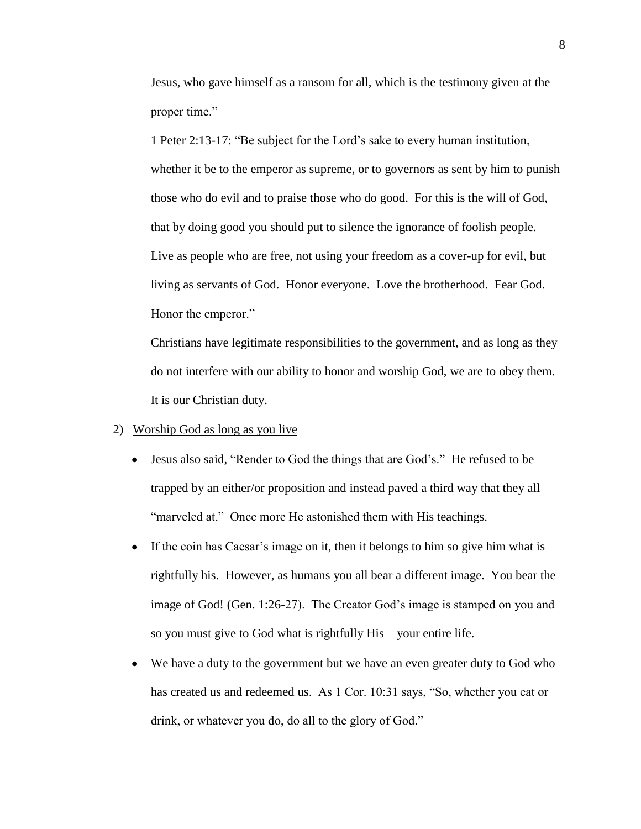Jesus, who gave himself as a ransom for all, which is the testimony given at the proper time."

1 Peter 2:13-17: "Be subject for the Lord's sake to every human institution, whether it be to the emperor as supreme, or to governors as sent by him to punish those who do evil and to praise those who do good. For this is the will of God, that by doing good you should put to silence the ignorance of foolish people. Live as people who are free, not using your freedom as a cover-up for evil, but living as servants of God. Honor everyone. Love the brotherhood. Fear God. Honor the emperor."

Christians have legitimate responsibilities to the government, and as long as they do not interfere with our ability to honor and worship God, we are to obey them. It is our Christian duty.

# 2) Worship God as long as you live

- Jesus also said, "Render to God the things that are God's." He refused to be trapped by an either/or proposition and instead paved a third way that they all "marveled at." Once more He astonished them with His teachings.
- If the coin has Caesar's image on it, then it belongs to him so give him what is rightfully his. However, as humans you all bear a different image. You bear the image of God! (Gen. 1:26-27). The Creator God's image is stamped on you and so you must give to God what is rightfully His – your entire life.
- We have a duty to the government but we have an even greater duty to God who has created us and redeemed us. As 1 Cor. 10:31 says, "So, whether you eat or drink, or whatever you do, do all to the glory of God."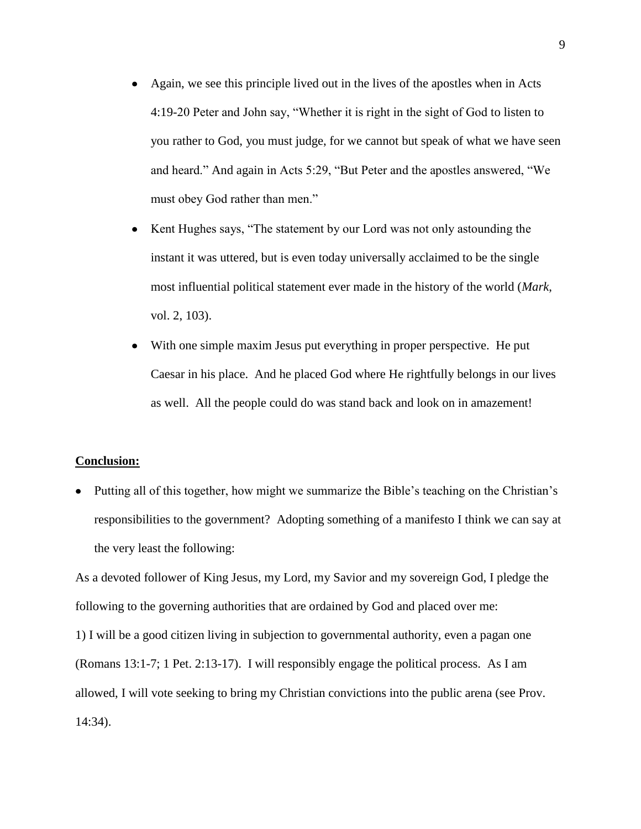- Again, we see this principle lived out in the lives of the apostles when in Acts 4:19-20 Peter and John say, "Whether it is right in the sight of God to listen to you rather to God, you must judge, for we cannot but speak of what we have seen and heard." And again in Acts 5:29, "But Peter and the apostles answered, "We must obey God rather than men."
- Kent Hughes says, "The statement by our Lord was not only astounding the instant it was uttered, but is even today universally acclaimed to be the single most influential political statement ever made in the history of the world (*Mark*, vol. 2, 103).
- With one simple maxim Jesus put everything in proper perspective. He put Caesar in his place. And he placed God where He rightfully belongs in our lives as well. All the people could do was stand back and look on in amazement!

### **Conclusion:**

Putting all of this together, how might we summarize the Bible's teaching on the Christian's responsibilities to the government? Adopting something of a manifesto I think we can say at the very least the following:

As a devoted follower of King Jesus, my Lord, my Savior and my sovereign God, I pledge the following to the governing authorities that are ordained by God and placed over me: 1) I will be a good citizen living in subjection to governmental authority, even a pagan one (Romans 13:1-7; 1 Pet. 2:13-17). I will responsibly engage the political process. As I am allowed, I will vote seeking to bring my Christian convictions into the public arena (see Prov. 14:34).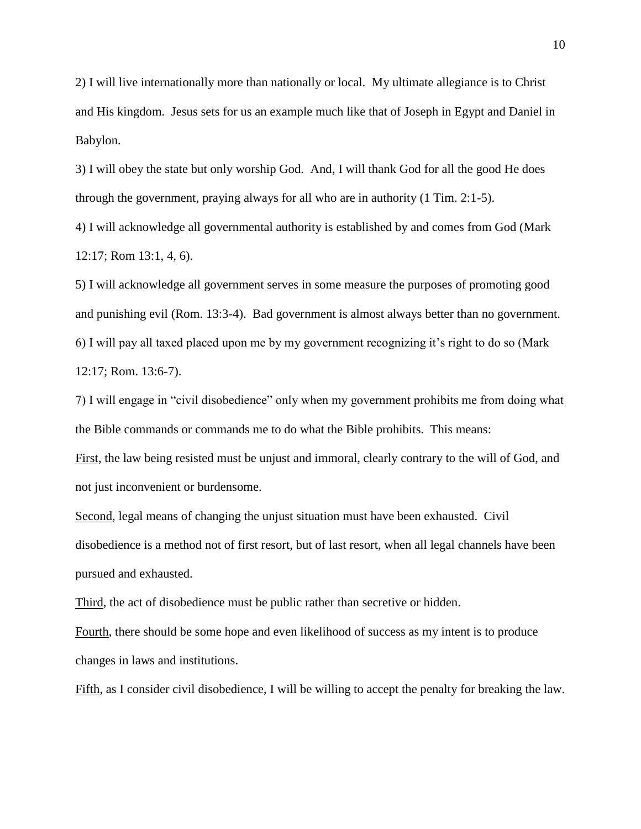2) I will live internationally more than nationally or local. My ultimate allegiance is to Christ and His kingdom. Jesus sets for us an example much like that of Joseph in Egypt and Daniel in Babylon.

3) I will obey the state but only worship God. And, I will thank God for all the good He does through the government, praying always for all who are in authority (1 Tim. 2:1-5).

4) I will acknowledge all governmental authority is established by and comes from God (Mark 12:17; Rom 13:1, 4, 6).

5) I will acknowledge all government serves in some measure the purposes of promoting good and punishing evil (Rom. 13:3-4). Bad government is almost always better than no government. 6) I will pay all taxed placed upon me by my government recognizing it's right to do so (Mark 12:17; Rom. 13:6-7).

7) I will engage in "civil disobedience" only when my government prohibits me from doing what the Bible commands or commands me to do what the Bible prohibits. This means:

First, the law being resisted must be unjust and immoral, clearly contrary to the will of God, and not just inconvenient or burdensome.

Second, legal means of changing the unjust situation must have been exhausted. Civil disobedience is a method not of first resort, but of last resort, when all legal channels have been pursued and exhausted.

Third, the act of disobedience must be public rather than secretive or hidden.

Fourth, there should be some hope and even likelihood of success as my intent is to produce changes in laws and institutions.

Fifth, as I consider civil disobedience, I will be willing to accept the penalty for breaking the law.